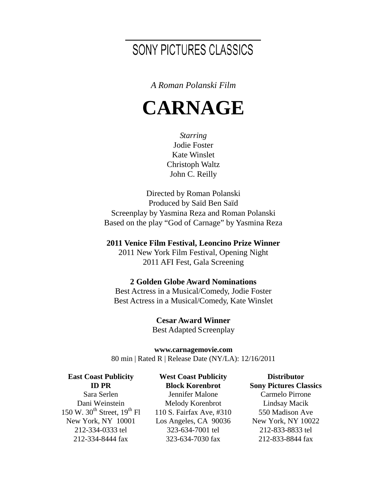## SONY PICTURES CLASSICS

*A Roman Polanski Film*

# **CARNAGE**

*Starring* Jodie Foster Kate Winslet Christoph Waltz John C. Reilly

Directed by Roman Polanski Produced by Saïd Ben Saïd Screenplay by Yasmina Reza and Roman Polanski Based on the play "God of Carnage" by Yasmina Reza

**2011 Venice Film Festival, Leoncino Prize Winner**

2011 New York Film Festival, Opening Night 2011 AFI Fest, Gala Screening

#### **2 Golden Globe Award Nominations**

Best Actress in a Musical/Comedy, Jodie Foster Best Actress in a Musical/Comedy, Kate Winslet

> **Cesar Award Winner** Best Adapted Screenplay

**www.carnagemovie.com** 80 min | Rated R | Release Date (NY/LA): 12/16/2011

**East Coast Publicity ID PR**

Sara Serlen Dani Weinstein 150 W. 30<sup>th</sup> Street,  $19^{th}$  Fl New York, NY 10001 212-334-0333 tel 212-334-8444 fax

**West Coast Publicity Block Korenbrot** Jennifer Malone Melody Korenbrot 110 S. Fairfax Ave, #310 Los Angeles, CA 90036 323-634-7001 tel 323-634-7030 fax

**Distributor Sony Pictures Classics** Carmelo Pirrone Lindsay Macik 550 Madison Ave New York, NY 10022 212-833-8833 tel 212-833-8844 fax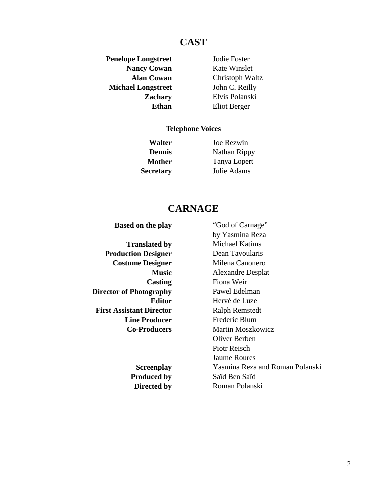## **CAST**

**Penelope Longstreet** Jodie Foster **Nancy Cowan** Kate Winslet **Michael Longstreet** John C. Reilly

**Alan Cowan** Christoph Waltz **Zachary** Elvis Polanski **Ethan** Eliot Berger

#### **Telephone Voices**

**Walter** Joe Rezwin **Dennis** Nathan Rippy **Mother** Tanya Lopert **Secretary** Julie Adams

## **CARNAGE**

**Translated by** Michael Katims **Production Designer** Dean Tavoularis **Costume Designer** Milena Canonero **Music** Alexandre Desplat **Casting** Fiona Weir **Director of Photography** Pawel Edelman **Editor** Hervé de Luze **First Assistant Director Ralph Remstedt Line Producer** Frederic Blum **Co-Producers** Martin Moszkowicz

**Based on the play** "God of Carnage" by Yasmina Reza Oliver Berben Piotr Reisch Jaume Roures **Screenplay** Yasmina Reza and Roman Polanski **Produced by Saïd Ben Saïd Directed by** Roman Polanski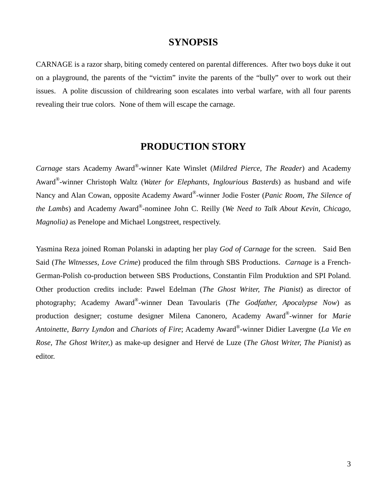## **SYNOPSIS**

CARNAGE is a razor sharp, biting comedy centered on parental differences. After two boys duke it out on a playground, the parents of the "victim" invite the parents of the "bully" over to work out their issues. A polite discussion of childrearing soon escalates into verbal warfare, with all four parents revealing their true colors. None of them will escape the carnage.

## **PRODUCTION STORY**

*Carnage* stars Academy Award®-winner Kate Winslet (*Mildred Pierce, The Reader*) and Academy Award®-winner Christoph Waltz (*Water for Elephants, Inglourious Basterds*) as husband and wife Nancy and Alan Cowan, opposite Academy Award®-winner Jodie Foster (*Panic Room, The Silence of the Lambs*) and Academy Award®-nominee John C. Reilly (*We Need to Talk About Kevin, Chicago, Magnolia)* as Penelope and Michael Longstreet, respectively.

Yasmina Reza joined Roman Polanski in adapting her play *God of Carnage* for the screen. Said Ben Said (*The Witnesses, Love Crime*) produced the film through SBS Productions. *Carnage* is a French-German-Polish co-production between SBS Productions, Constantin Film Produktion and SPI Poland. Other production credits include: Pawel Edelman (*The Ghost Writer, The Pianist*) as director of photography; Academy Award®-winner Dean Tavoularis (*The Godfather, Apocalypse Now*) as production designer; costume designer Milena Canonero, Academy Award®-winner for *Marie Antoinette*, *Barry Lyndon* and *Chariots of Fire*; Academy Award®-winner Didier Lavergne (*La Vie en Rose, The Ghost Writer,*) as make-up designer and Hervé de Luze (*The Ghost Writer, The Pianist*) as editor.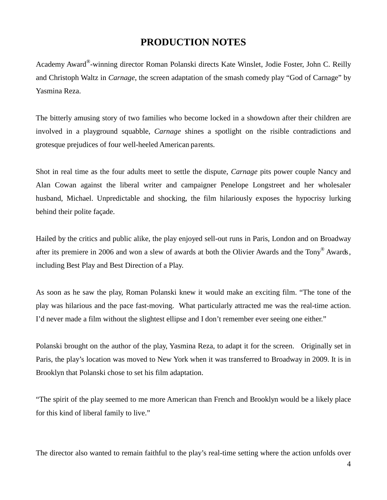## **PRODUCTION NOTES**

Academy Award®-winning director Roman Polanski directs Kate Winslet, Jodie Foster, John C. Reilly and Christoph Waltz in *Carnage*, the screen adaptation of the smash comedy play "God of Carnage" by Yasmina Reza.

The bitterly amusing story of two families who become locked in a showdown after their children are involved in a playground squabble, *Carnage* shines a spotlight on the risible contradictions and grotesque prejudices of four well-heeled American parents.

Shot in real time as the four adults meet to settle the dispute, *Carnage* pits power couple Nancy and Alan Cowan against the liberal writer and campaigner Penelope Longstreet and her wholesaler husband, Michael. Unpredictable and shocking, the film hilariously exposes the hypocrisy lurking behind their polite façade.

Hailed by the critics and public alike, the play enjoyed sell-out runs in Paris, London and on Broadway after its premiere in 2006 and won a slew of awards at both the Olivier Awards and the Tony® Awards. including Best Play and Best Direction of a Play.

As soon as he saw the play, Roman Polanski knew it would make an exciting film. "The tone of the play was hilarious and the pace fast-moving. What particularly attracted me was the real-time action. I'd never made a film without the slightest ellipse and I don't remember ever seeing one either."

Polanski brought on the author of the play, Yasmina Reza, to adapt it for the screen. Originally set in Paris, the play's location was moved to New York when it was transferred to Broadway in 2009. It is in Brooklyn that Polanski chose to set his film adaptation.

"The spirit of the play seemed to me more American than French and Brooklyn would be a likely place for this kind of liberal family to live."

The director also wanted to remain faithful to the play's real-time setting where the action unfolds over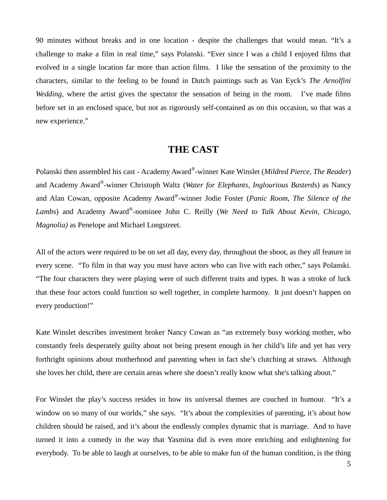90 minutes without breaks and in one location - despite the challenges that would mean. "It's a challenge to make a film in real time," says Polanski. "Ever since I was a child I enjoyed films that evolved in a single location far more than action films. I like the sensation of the proximity to the characters, similar to the feeling to be found in Dutch paintings such as Van Eyck's *The Arnolfini Wedding*, where the artist gives the spectator the sensation of being in the room. I've made films before set in an enclosed space, but not as rigorously self-contained as on this occasion, so that was a new experience."

## **THE CAST**

Polanski then assembled his cast - Academy Award®-winner Kate Winslet (*Mildred Pierce, The Reader*) and Academy Award®-winner Christoph Waltz (*Water for Elephants, Inglourious Basterds*) as Nancy and Alan Cowan, opposite Academy Award®-winner Jodie Foster (*Panic Room, The Silence of the Lambs*) and Academy Award®-nominee John C. Reilly (*We Need to Talk About Kevin, Chicago, Magnolia)* as Penelope and Michael Longstreet.

All of the actors were required to be on set all day, every day, throughout the shoot, as they all feature in every scene. "To film in that way you must have actors who can live with each other," says Polanski. "The four characters they were playing were of such different traits and types. It was a stroke of luck that these four actors could function so well together, in complete harmony. It just doesn't happen on every production!"

Kate Winslet describes investment broker Nancy Cowan as "an extremely busy working mother, who constantly feels desperately guilty about not being present enough in her child's life and yet has very forthright opinions about motherhood and parenting when in fact she's clutching at straws. Although she loves her child, there are certain areas where she doesn't really know what she's talking about."

For Winslet the play's success resides in how its universal themes are couched in humour. "It's a window on so many of our worlds," she says. "It's about the complexities of parenting, it's about how children should be raised, and it's about the endlessly complex dynamic that is marriage. And to have turned it into a comedy in the way that Yasmina did is even more enriching and enlightening for everybody. To be able to laugh at ourselves, to be able to make fun of the human condition, is the thing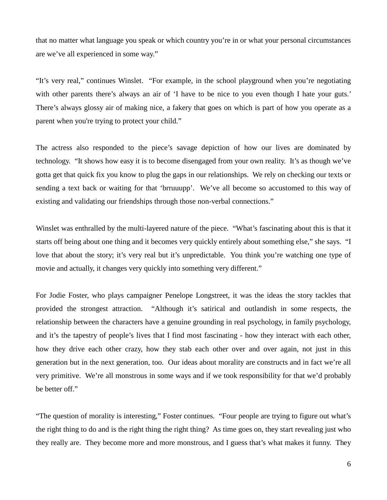that no matter what language you speak or which country you're in or what your personal circumstances are we've all experienced in some way."

"It's very real," continues Winslet. "For example, in the school playground when you're negotiating with other parents there's always an air of 'I have to be nice to you even though I hate your guts.' There's always glossy air of making nice, a fakery that goes on which is part of how you operate as a parent when you're trying to protect your child."

The actress also responded to the piece's savage depiction of how our lives are dominated by technology. "It shows how easy it is to become disengaged from your own reality. It's as though we've gotta get that quick fix you know to plug the gaps in our relationships. We rely on checking our texts or sending a text back or waiting for that 'brruuupp'. We've all become so accustomed to this way of existing and validating our friendships through those non-verbal connections."

Winslet was enthralled by the multi-layered nature of the piece. "What's fascinating about this is that it starts off being about one thing and it becomes very quickly entirely about something else," she says. "I love that about the story; it's very real but it's unpredictable. You think you're watching one type of movie and actually, it changes very quickly into something very different."

For Jodie Foster, who plays campaigner Penelope Longstreet, it was the ideas the story tackles that provided the strongest attraction. "Although it's satirical and outlandish in some respects, the relationship between the characters have a genuine grounding in real psychology, in family psychology, and it's the tapestry of people's lives that I find most fascinating - how they interact with each other, how they drive each other crazy, how they stab each other over and over again, not just in this generation but in the next generation, too. Our ideas about morality are constructs and in fact we're all very primitive. We're all monstrous in some ways and if we took responsibility for that we'd probably be better off."

"The question of morality is interesting," Foster continues. "Four people are trying to figure out what's the right thing to do and is the right thing the right thing? As time goes on, they start revealing just who they really are. They become more and more monstrous, and I guess that's what makes it funny. They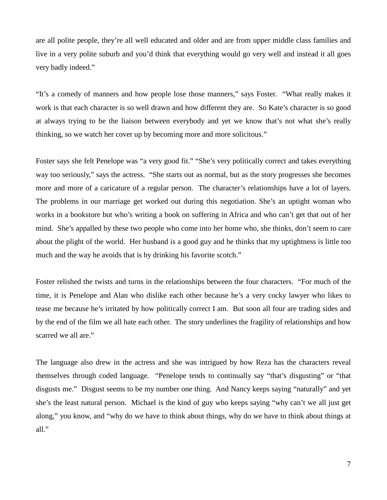are all polite people, they're all well educated and older and are from upper middle class families and live in a very polite suburb and you'd think that everything would go very well and instead it all goes very badly indeed."

"It's a comedy of manners and how people lose those manners," says Foster. "What really makes it work is that each character is so well drawn and how different they are. So Kate's character is so good at always trying to be the liaison between everybody and yet we know that's not what she's really thinking, so we watch her cover up by becoming more and more solicitous."

Foster says she felt Penelope was "a very good fit." "She's very politically correct and takes everything way too seriously," says the actress. "She starts out as normal, but as the story progresses she becomes more and more of a caricature of a regular person. The character's relationships have a lot of layers. The problems in our marriage get worked out during this negotiation. She's an uptight woman who works in a bookstore but who's writing a book on suffering in Africa and who can't get that out of her mind. She's appalled by these two people who come into her home who, she thinks, don't seem to care about the plight of the world. Her husband is a good guy and he thinks that my uptightness is little too much and the way he avoids that is by drinking his favorite scotch."

Foster relished the twists and turns in the relationships between the four characters. "For much of the time, it is Penelope and Alan who dislike each other because he's a very cocky lawyer who likes to tease me because he's irritated by how politically correct I am. But soon all four are trading sides and by the end of the film we all hate each other. The story underlines the fragility of relationships and how scarred we all are."

The language also drew in the actress and she was intrigued by how Reza has the characters reveal themselves through coded language. "Penelope tends to continually say "that's disgusting" or "that disgusts me." Disgust seems to be my number one thing. And Nancy keeps saying "naturally" and yet she's the least natural person. Michael is the kind of guy who keeps saying "why can't we all just get along," you know, and "why do we have to think about things, why do we have to think about things at all."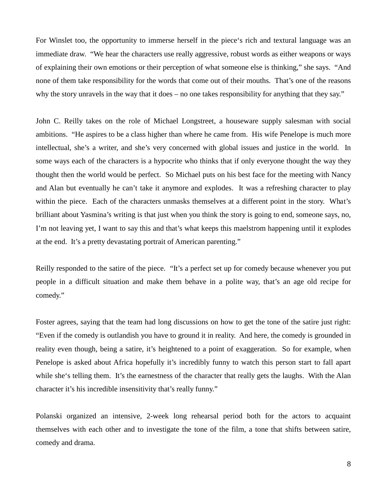For Winslet too, the opportunity to immerse herself in the piece's rich and textural language was an immediate draw. "We hear the characters use really aggressive, robust words as either weapons or ways of explaining their own emotions or their perception of what someone else is thinking," she says. "And none of them take responsibility for the words that come out of their mouths. That's one of the reasons why the story unravels in the way that it does – no one takes responsibility for anything that they say."

John C. Reilly takes on the role of Michael Longstreet, a houseware supply salesman with social ambitions. "He aspires to be a class higher than where he came from. His wife Penelope is much more intellectual, she's a writer, and she's very concerned with global issues and justice in the world. In some ways each of the characters is a hypocrite who thinks that if only everyone thought the way they thought then the world would be perfect. So Michael puts on his best face for the meeting with Nancy and Alan but eventually he can't take it anymore and explodes. It was a refreshing character to play within the piece. Each of the characters unmasks themselves at a different point in the story. What's brilliant about Yasmina's writing is that just when you think the story is going to end, someone says, no, I'm not leaving yet, I want to say this and that's what keeps this maelstrom happening until it explodes at the end. It's a pretty devastating portrait of American parenting."

Reilly responded to the satire of the piece. "It's a perfect set up for comedy because whenever you put people in a difficult situation and make them behave in a polite way, that's an age old recipe for comedy."

Foster agrees, saying that the team had long discussions on how to get the tone of the satire just right: "Even if the comedy is outlandish you have to ground it in reality. And here, the comedy is grounded in reality even though, being a satire, it's heightened to a point of exaggeration. So for example, when Penelope is asked about Africa hopefully it's incredibly funny to watch this person start to fall apart while she's telling them. It's the earnestness of the character that really gets the laughs. With the Alan character it's his incredible insensitivity that's really funny."

Polanski organized an intensive, 2-week long rehearsal period both for the actors to acquaint themselves with each other and to investigate the tone of the film, a tone that shifts between satire, comedy and drama.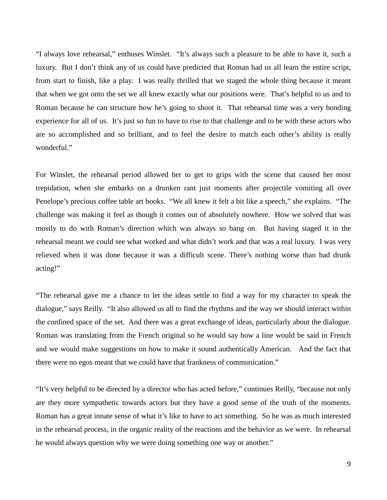"I always love rehearsal," enthuses Winslet. "It's always such a pleasure to be able to have it, such a luxury. But I don't think any of us could have predicted that Roman had us all learn the entire script, from start to finish, like a play. I was really thrilled that we staged the whole thing because it meant that when we got onto the set we all knew exactly what our positions were. That's helpful to us and to Roman because he can structure how he's going to shoot it. That rehearsal time was a very bonding experience for all of us. It's just so fun to have to rise to that challenge and to be with these actors who are so accomplished and so brilliant, and to feel the desire to match each other's ability is really wonderful."

For Winslet, the rehearsal period allowed her to get to grips with the scene that caused her most trepidation, when she embarks on a drunken rant just moments after projectile vomiting all over Penelope's precious coffee table art books. "We all knew it felt a bit like a speech," she explains. "The challenge was making it feel as though it comes out of absolutely nowhere. How we solved that was mostly to do with Roman's direction which was always so bang on. But having staged it in the rehearsal meant we could see what worked and what didn't work and that was a real luxury. I was very relieved when it was done because it was a difficult scene. There's nothing worse than bad drunk acting!"

"The rehearsal gave me a chance to let the ideas settle to find a way for my character to speak the dialogue," says Reilly. "It also allowed us all to find the rhythms and the way we should interact within the confined space of the set. And there was a great exchange of ideas, particularly about the dialogue. Roman was translating from the French original so he would say how a line would be said in French and we would make suggestions on how to make it sound authentically American. And the fact that there were no egos meant that we could have that frankness of communication."

"It's very helpful to be directed by a director who has acted before," continues Reilly, "because not only are they more sympathetic towards actors but they have a good sense of the truth of the moments. Roman has a great innate sense of what it's like to have to act something. So he was as much interested in the rehearsal process, in the organic reality of the reactions and the behavior as we were. In rehearsal he would always question why we were doing something one way or another."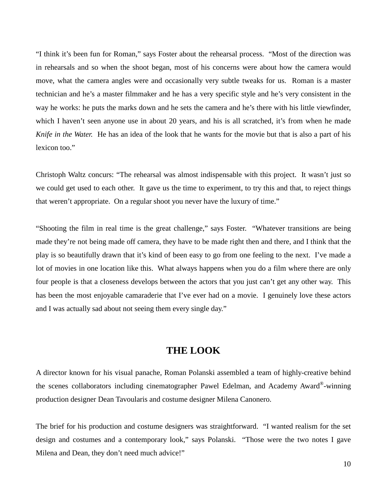"I think it's been fun for Roman," says Foster about the rehearsal process. "Most of the direction was in rehearsals and so when the shoot began, most of his concerns were about how the camera would move, what the camera angles were and occasionally very subtle tweaks for us. Roman is a master technician and he's a master filmmaker and he has a very specific style and he's very consistent in the way he works: he puts the marks down and he sets the camera and he's there with his little viewfinder, which I haven't seen anyone use in about 20 years, and his is all scratched, it's from when he made *Knife in the Water.* He has an idea of the look that he wants for the movie but that is also a part of his lexicon too."

Christoph Waltz concurs: "The rehearsal was almost indispensable with this project. It wasn't just so we could get used to each other. It gave us the time to experiment, to try this and that, to reject things that weren't appropriate. On a regular shoot you never have the luxury of time."

"Shooting the film in real time is the great challenge," says Foster. "Whatever transitions are being made they're not being made off camera, they have to be made right then and there, and I think that the play is so beautifully drawn that it's kind of been easy to go from one feeling to the next. I've made a lot of movies in one location like this. What always happens when you do a film where there are only four people is that a closeness develops between the actors that you just can't get any other way. This has been the most enjoyable camaraderie that I've ever had on a movie. I genuinely love these actors and I was actually sad about not seeing them every single day."

## **THE LOOK**

A director known for his visual panache, Roman Polanski assembled a team of highly-creative behind the scenes collaborators including cinematographer Pawel Edelman, and Academy Award®-winning production designer Dean Tavoularis and costume designer Milena Canonero.

The brief for his production and costume designers was straightforward. "I wanted realism for the set design and costumes and a contemporary look," says Polanski. "Those were the two notes I gave Milena and Dean, they don't need much advice!"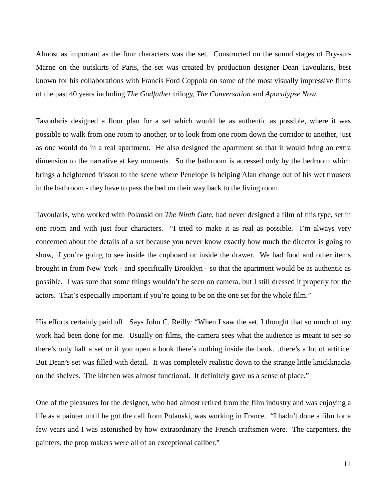Almost as important as the four characters was the set. Constructed on the sound stages of Bry-sur-Marne on the outskirts of Paris, the set was created by production designer Dean Tavoularis, best known for his collaborations with Francis Ford Coppola on some of the most visually impressive films of the past 40 years including *The Godfather* trilogy, *The Conversation* and *Apocalypse Now.*

Tavoularis designed a floor plan for a set which would be as authentic as possible, where it was possible to walk from one room to another, or to look from one room down the corridor to another, just as one would do in a real apartment. He also designed the apartment so that it would bring an extra dimension to the narrative at key moments. So the bathroom is accessed only by the bedroom which brings a heightened frisson to the scene where Penelope is helping Alan change out of his wet trousers in the bathroom - they have to pass the bed on their way back to the living room.

Tavoularis, who worked with Polanski on *The Ninth Gate*, had never designed a film of this type, set in one room and with just four characters. "I tried to make it as real as possible. I'm always very concerned about the details of a set because you never know exactly how much the director is going to show, if you're going to see inside the cupboard or inside the drawer. We had food and other items brought in from New York - and specifically Brooklyn - so that the apartment would be as authentic as possible. I was sure that some things wouldn't be seen on camera, but I still dressed it properly for the actors. That's especially important if you're going to be on the one set for the whole film."

His efforts certainly paid off. Says John C. Reilly: "When I saw the set, I thought that so much of my work had been done for me. Usually on films, the camera sees what the audience is meant to see so there's only half a set or if you open a book there's nothing inside the book…there's a lot of artifice. But Dean's set was filled with detail. It was completely realistic down to the strange little knickknacks on the shelves. The kitchen was almost functional. It definitely gave us a sense of place."

One of the pleasures for the designer, who had almost retired from the film industry and was enjoying a life as a painter until he got the call from Polanski, was working in France. "I hadn't done a film for a few years and I was astonished by how extraordinary the French craftsmen were. The carpenters, the painters, the prop makers were all of an exceptional caliber."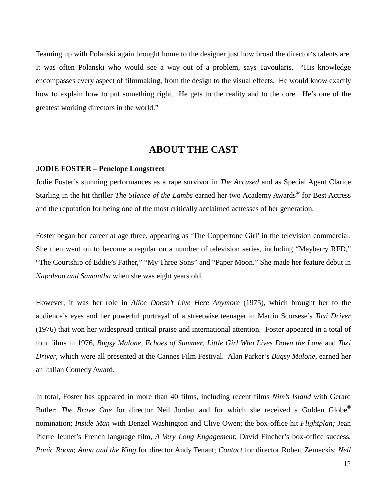Teaming up with Polanski again brought home to the designer just how broad the director's talents are. It was often Polanski who would see a way out of a problem, says Tavoularis. "His knowledge encompasses every aspect of filmmaking, from the design to the visual effects. He would know exactly how to explain how to put something right. He gets to the reality and to the core. He's one of the greatest working directors in the world."

## **ABOUT THE CAST**

#### **JODIE FOSTER – Penelope Longstreet**

Jodie Foster's stunning performances as a rape survivor in *The Accused* and as Special Agent Clarice Starling in the hit thriller *The Silence of the Lambs* earned her two Academy Awards® for Best Actress and the reputation for being one of the most critically acclaimed actresses of her generation.

Foster began her career at age three, appearing as 'The Coppertone Girl' in the television commercial. She then went on to become a regular on a number of television series, including "Mayberry RFD," "The Courtship of Eddie's Father," "My Three Sons" and "Paper Moon." She made her feature debut in *Napoleon and Samantha* when she was eight years old.

However, it was her role in *Alice Doesn't Live Here Anymore* (1975), which brought her to the audience's eyes and her powerful portrayal of a streetwise teenager in Martin Scorsese's *Taxi Driver* (1976) that won her widespread critical praise and international attention. Foster appeared in a total of four films in 1976, *Bugsy Malone*, *Echoes of Summer*, *Little Girl Who Lives Down the Lane* and *Taxi Driver*, which were all presented at the Cannes Film Festival. Alan Parker's *Bugsy Malone*, earned her an Italian Comedy Award.

In total, Foster has appeared in more than 40 films, including recent films *Nim's Island* with Gerard Butler; *The Brave One* for director Neil Jordan and for which she received a Golden Globe® nomination; *Inside Man* with Denzel Washington and Clive Owen; the box-office hit *Flightplan;* Jean Pierre Jeunet's French language film, *A Very Long Engagement*; David Fincher's box-office success, *Panic Room*; *Anna and the King* for director Andy Tenant; *Contact* for director Robert Zemeckis; *Nell*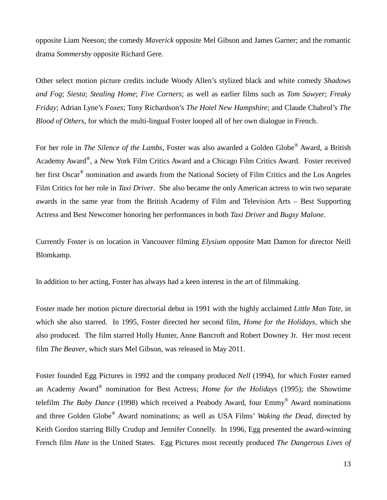opposite Liam Neeson; the comedy *Maverick* opposite Mel Gibson and James Garner; and the romantic drama *Sommersby* opposite Richard Gere.

Other select motion picture credits include Woody Allen's stylized black and white comedy *Shadows and Fog*; *Siesta*; *Stealing Home*; *Five Corners*; as well as earlier films such as *Tom Sawyer*; *Freaky Friday*; Adrian Lyne's *Foxes*; Tony Richardson's *The Hotel New Hampshire*; and Claude Chabrol's *The Blood of Others*, for which the multi-lingual Foster looped all of her own dialogue in French.

For her role in *The Silence of the Lambs*, Foster was also awarded a Golden Globe® Award, a British Academy Award®, a New York Film Critics Award and a Chicago Film Critics Award. Foster received her first Oscar<sup>®</sup> nomination and awards from the National Society of Film Critics and the Los Angeles Film Critics for her role in *Taxi Driver*. She also became the only American actress to win two separate awards in the same year from the British Academy of Film and Television Arts – Best Supporting Actress and Best Newcomer honoring her performances in both *Taxi Driver* and *Bugsy Malone*.

Currently Foster is on location in Vancouver filming *Elysium* opposite Matt Damon for director Neill Blomkamp.

In addition to her acting, Foster has always had a keen interest in the art of filmmaking.

Foster made her motion picture directorial debut in 1991 with the highly acclaimed *Little Man Tate*, in which she also starred. In 1995, Foster directed her second film, *Home for the Holidays*, which she also produced. The film starred Holly Hunter, Anne Bancroft and Robert Downey Jr. Her most recent film *The Beaver*, which stars Mel Gibson, was released in May 2011.

Foster founded Egg Pictures in 1992 and the company produced *Nell* (1994), for which Foster earned an Academy Award® nomination for Best Actress; *Home for the Holidays* (1995); the Showtime telefilm *The Baby Dance* (1998) which received a Peabody Award, four Emmy® Award nominations and three Golden Globe® Award nominations; as well as USA Films' *Waking the Dead*, directed by Keith Gordon starring Billy Crudup and Jennifer Connelly. In 1996, Egg presented the award-winning French film *Hate* in the United States. Egg Pictures most recently produced *The Dangerous Lives of*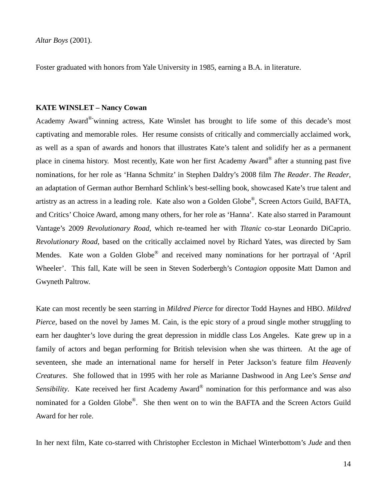*Altar Boys* (2001).

Foster graduated with honors from Yale University in 1985, earning a B.A. in literature.

#### **KATE WINSLET – Nancy Cowan**

Academy Award®winning actress, Kate Winslet has brought to life some of this decade's most captivating and memorable roles. Her resume consists of critically and commercially acclaimed work, as well as a span of awards and honors that illustrates Kate's talent and solidify her as a permanent place in cinema history. Most recently, Kate won her first Academy Award® after a stunning past five nominations, for her role as 'Hanna Schmitz' in Stephen Daldry's 2008 film *The Reader*. *The Reader*, an adaptation of German author Bernhard Schlink's best-selling book, showcased Kate's true talent and artistry as an actress in a leading role. Kate also won a Golden Globe®, Screen Actors Guild, BAFTA, and Critics' Choice Award, among many others, for her role as 'Hanna'. Kate also starred in Paramount Vantage's 2009 *Revolutionary Road*, which re-teamed her with *Titanic* co-star Leonardo DiCaprio. *Revolutionary Road*, based on the critically acclaimed novel by Richard Yates, was directed by Sam Mendes. Kate won a Golden Globe® and received many nominations for her portrayal of 'April Wheeler'. This fall, Kate will be seen in Steven Soderbergh's *Contagion* opposite Matt Damon and Gwyneth Paltrow.

Kate can most recently be seen starring in *Mildred Pierce* for director Todd Haynes and HBO. *Mildred Pierce*, based on the novel by James M. Cain, is the epic story of a proud single mother struggling to earn her daughter's love during the great depression in middle class Los Angeles. Kate grew up in a family of actors and began performing for British television when she was thirteen. At the age of seventeen, she made an international name for herself in Peter Jackson's feature film *Heavenly Creatures*. She followed that in 1995 with her role as Marianne Dashwood in Ang Lee's *Sense and Sensibility*. Kate received her first Academy Award® nomination for this performance and was also nominated for a Golden Globe®. She then went on to win the BAFTA and the Screen Actors Guild Award for her role.

In her next film, Kate co-starred with Christopher Eccleston in Michael Winterbottom's *Jude* and then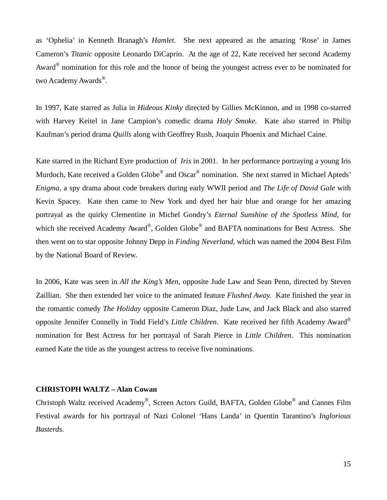as 'Ophelia' in Kenneth Branagh's *Hamlet.* She next appeared as the amazing 'Rose' in James Cameron's *Titanic* opposite Leonardo DiCaprio. At the age of 22, Kate received her second Academy Award<sup>®</sup> nomination for this role and the honor of being the youngest actress ever to be nominated for two Academy Awards®.

In 1997, Kate starred as Julia in *Hideous Kinky* directed by Gillies McKinnon, and in 1998 co-starred with Harvey Keitel in Jane Campion's comedic drama *Holy Smoke.* Kate also starred in Philip Kaufman's period drama *Quills* along with Geoffrey Rush, Joaquin Phoenix and Michael Caine.

Kate starred in the Richard Eyre production of *Iris* in 2001. In her performance portraying a young Iris Murdoch, Kate received a Golden Globe<sup>®</sup> and Oscar<sup>®</sup> nomination. She next starred in Michael Apteds' *Enigma*, a spy drama about code breakers during early WWII period and *The Life of David Gale* with Kevin Spacey. Kate then came to New York and dyed her hair blue and orange for her amazing portrayal as the quirky Clementine in Michel Gondry's *Eternal Sunshine of the Spotless Mind*, for which she received Academy Award®, Golden Globe® and BAFTA nominations for Best Actress. She then went on to star opposite Johnny Depp in *Finding Neverland*, which was named the 2004 Best Film by the National Board of Review.

In 2006, Kate was seen in *All the King's Men*, opposite Jude Law and Sean Penn, directed by Steven Zaillian. She then extended her voice to the animated feature *Flushed Away.* Kate finished the year in the romantic comedy *The Holiday* opposite Cameron Diaz, Jude Law, and Jack Black and also starred opposite Jennifer Connelly in Todd Field's *Little Children*. Kate received her fifth Academy Award® nomination for Best Actress for her portrayal of Sarah Pierce in *Little Children*. This nomination earned Kate the title as the youngest actress to receive five nominations.

#### **CHRISTOPH WALTZ – Alan Cowan**

Christoph Waltz received Academy®, Screen Actors Guild, BAFTA, Golden Globe® and Cannes Film Festival awards for his portrayal of Nazi Colonel 'Hans Landa' in Quentin Tarantino's *Inglorious Basterds*.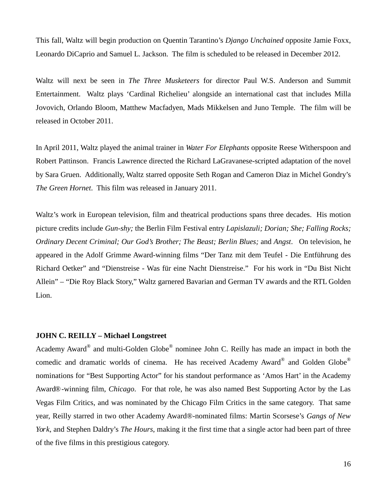This fall, Waltz will begin production on Quentin Tarantino's *Django Unchained* opposite Jamie Foxx, Leonardo DiCaprio and Samuel L. Jackson. The film is scheduled to be released in December 2012.

Waltz will next be seen in *The Three Musketeers* for director Paul W.S. Anderson and Summit Entertainment. Waltz plays 'Cardinal Richelieu' alongside an international cast that includes Milla Jovovich, Orlando Bloom, Matthew Macfadyen, Mads Mikkelsen and Juno Temple. The film will be released in October 2011.

In April 2011, Waltz played the animal trainer in *Water For Elephants* opposite Reese Witherspoon and Robert Pattinson. Francis Lawrence directed the Richard LaGravanese-scripted adaptation of the novel by Sara Gruen. Additionally, Waltz starred opposite Seth Rogan and Cameron Diaz in Michel Gondry's *The Green Hornet*. This film was released in January 2011.

Waltz's work in European television, film and theatrical productions spans three decades. His motion picture credits include *Gun-shy;* the Berlin Film Festival entry *Lapislazuli; Dorian; She; Falling Rocks; Ordinary Decent Criminal; Our God's Brother; The Beast; Berlin Blues;* and *Angst*. On television, he appeared in the Adolf Grimme Award-winning films "Der Tanz mit dem Teufel - Die Entführung des Richard Oetker" and "Dienstreise - Was für eine Nacht Dienstreise." For his work in "Du Bist Nicht Allein" – "Die Roy Black Story," Waltz garnered Bavarian and German TV awards and the RTL Golden Lion.

#### **JOHN C. REILLY – Michael Longstreet**

Academy Award® and multi-Golden Globe® nominee John C. Reilly has made an impact in both the comedic and dramatic worlds of cinema. He has received Academy Award® and Golden Globe® nominations for "Best Supporting Actor" for his standout performance as 'Amos Hart' in the Academy Award®-winning film, *Chicago*. For that role, he was also named Best Supporting Actor by the Las Vegas Film Critics, and was nominated by the Chicago Film Critics in the same category. That same year, Reilly starred in two other Academy Award®-nominated films: Martin Scorsese's *Gangs of New York*, and Stephen Daldry's *The Hours*, making it the first time that a single actor had been part of three of the five films in this prestigious category.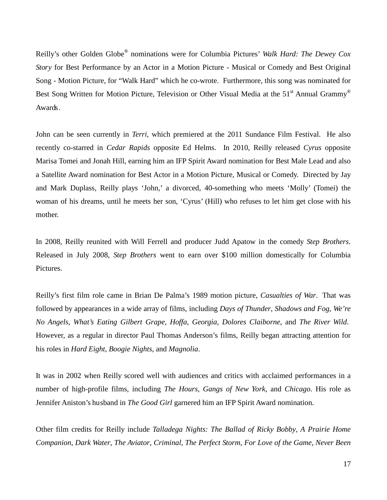Reilly's other Golden Globe® nominations were for Columbia Pictures' *Walk Hard: The Dewey Cox Story* for Best Performance by an Actor in a Motion Picture - Musical or Comedy and Best Original Song - Motion Picture, for "Walk Hard" which he co-wrote. Furthermore, this song was nominated for Best Song Written for Motion Picture, Television or Other Visual Media at the 51<sup>st</sup> Annual Grammy<sup>®</sup> Awards.

John can be seen currently in *Terri,* which premiered at the 2011 Sundance Film Festival. He also recently co-starred in *Cedar Rapids* opposite Ed Helms. In 2010, Reilly released *Cyrus* opposite Marisa Tomei and Jonah Hill, earning him an IFP Spirit Award nomination for Best Male Lead and also a Satellite Award nomination for Best Actor in a Motion Picture, Musical or Comedy. Directed by Jay and Mark Duplass, Reilly plays 'John,' a divorced, 40-something who meets 'Molly' (Tomei) the woman of his dreams, until he meets her son, 'Cyrus' (Hill) who refuses to let him get close with his mother.

In 2008, Reilly reunited with Will Ferrell and producer Judd Apatow in the comedy *Step Brothers*. Released in July 2008, *Step Brothers* went to earn over \$100 million domestically for Columbia Pictures.

Reilly's first film role came in Brian De Palma's 1989 motion picture, *Casualties of War*. That was followed by appearances in a wide array of films, including *Days of Thunder*, *Shadows and Fog*, *We're No Angels*, *What's Eating Gilbert Grape*, *Hoffa*, *Georgia*, *Dolores Claiborne*, and *The River Wild*. However, as a regular in director Paul Thomas Anderson's films, Reilly began attracting attention for his roles in *Hard Eight*, *Boogie Nights*, and *Magnolia*.

It was in 2002 when Reilly scored well with audiences and critics with acclaimed performances in a number of high-profile films, including *The Hours*, *Gangs of New York*, and *Chicago*. His role as Jennifer Aniston's husband in *The Good Girl* garnered him an IFP Spirit Award nomination.

Other film credits for Reilly include *Talladega Nights: The Ballad of Ricky Bobby*, *A Prairie Home Companion*, *Dark Water*, *The Aviator*, *Criminal*, *The Perfect Storm*, *For Love of the Game*, *Never Been*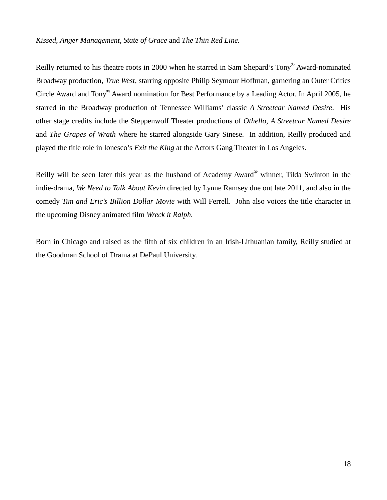#### *Kissed*, *Anger Management, State of Grace* and *The Thin Red Line.*

Reilly returned to his theatre roots in 2000 when he starred in Sam Shepard's Tony® Award-nominated Broadway production, *True West*, starring opposite Philip Seymour Hoffman, garnering an Outer Critics Circle Award and Tony® Award nomination for Best Performance by a Leading Actor. In April 2005, he starred in the Broadway production of Tennessee Williams' classic *A Streetcar Named Desire*. His other stage credits include the Steppenwolf Theater productions of *Othello, A Streetcar Named Desire*  and *The Grapes of Wrath* where he starred alongside Gary Sinese. In addition, Reilly produced and played the title role in Ionesco's *Exit the King* at the Actors Gang Theater in Los Angeles.

Reilly will be seen later this year as the husband of Academy Award® winner, Tilda Swinton in the indie-drama, *We Need to Talk About Kevin* directed by Lynne Ramsey due out late 2011, and also in the comedy *Tim and Eric's Billion Dollar Movie* with Will Ferrell. John also voices the title character in the upcoming Disney animated film *Wreck it Ralph.* 

Born in Chicago and raised as the fifth of six children in an Irish-Lithuanian family, Reilly studied at the Goodman School of Drama at DePaul University.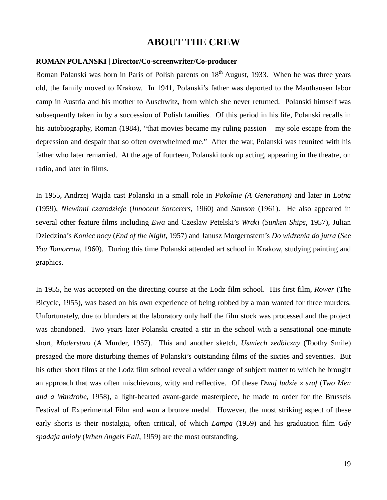## **ABOUT THE CREW**

#### **ROMAN POLANSKI | Director/Co-screenwriter/Co-producer**

Roman Polanski was born in Paris of Polish parents on  $18<sup>th</sup>$  August, 1933. When he was three years old, the family moved to Krakow. In 1941, Polanski's father was deported to the Mauthausen labor camp in Austria and his mother to Auschwitz, from which she never returned. Polanski himself was subsequently taken in by a succession of Polish families. Of this period in his life, Polanski recalls in his autobiography, Roman (1984), "that movies became my ruling passion – my sole escape from the depression and despair that so often overwhelmed me." After the war, Polanski was reunited with his father who later remarried. At the age of fourteen, Polanski took up acting, appearing in the theatre, on radio, and later in films.

In 1955, Andrzej Wajda cast Polanski in a small role in *Pokolnie (A Generation)* and later in *Lotna* (1959), *Niewinni czarodzieje* (*Innocent Sorcerers,* 1960) and *Samson* (1961). He also appeared in several other feature films including *Ewa* and Czeslaw Petelski's *Wraki* (*Sunken Ships*, 1957), Julian Dziedzina's *Koniec nocy* (*End of the Night*, 1957) and Janusz Morgernstern's *Do widzenia do jutra* (*See You Tomorrow,* 1960). During this time Polanski attended art school in Krakow, studying painting and graphics.

In 1955, he was accepted on the directing course at the Lodz film school. His first film, *Rower* (The Bicycle, 1955), was based on his own experience of being robbed by a man wanted for three murders. Unfortunately, due to blunders at the laboratory only half the film stock was processed and the project was abandoned. Two years later Polanski created a stir in the school with a sensational one-minute short, *Moderstwo* (A Murder, 1957). This and another sketch, *Usmiech zedbiczny* (Toothy Smile) presaged the more disturbing themes of Polanski's outstanding films of the sixties and seventies. But his other short films at the Lodz film school reveal a wider range of subject matter to which he brought an approach that was often mischievous, witty and reflective. Of these *Dwaj ludzie z szaf* (*Two Men and a Wardrobe*, 1958), a light-hearted avant-garde masterpiece, he made to order for the Brussels Festival of Experimental Film and won a bronze medal. However, the most striking aspect of these early shorts is their nostalgia, often critical, of which *Lampa* (1959) and his graduation film *Gdy spadaja anioly* (*When Angels Fall*, 1959) are the most outstanding.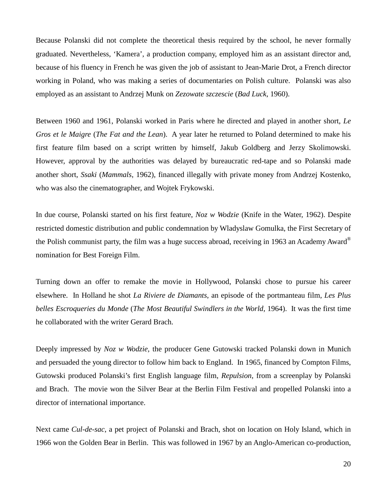Because Polanski did not complete the theoretical thesis required by the school, he never formally graduated. Nevertheless, 'Kamera', a production company, employed him as an assistant director and, because of his fluency in French he was given the job of assistant to Jean-Marie Drot, a French director working in Poland, who was making a series of documentaries on Polish culture. Polanski was also employed as an assistant to Andrzej Munk on *Zezowate szczescie* (*Bad Luck*, 1960).

Between 1960 and 1961, Polanski worked in Paris where he directed and played in another short, *Le Gros et le Maigre* (*The Fat and the Lean*). A year later he returned to Poland determined to make his first feature film based on a script written by himself, Jakub Goldberg and Jerzy Skolimowski. However, approval by the authorities was delayed by bureaucratic red-tape and so Polanski made another short, *Ssaki* (*Mammals*, 1962), financed illegally with private money from Andrzej Kostenko, who was also the cinematographer, and Wojtek Frykowski.

In due course, Polanski started on his first feature, *Noz w Wodzie* (Knife in the Water, 1962). Despite restricted domestic distribution and public condemnation by Wladyslaw Gomulka, the First Secretary of the Polish communist party, the film was a huge success abroad, receiving in 1963 an Academy Award® nomination for Best Foreign Film.

Turning down an offer to remake the movie in Hollywood, Polanski chose to pursue his career elsewhere. In Holland he shot *La Riviere de Diamants*, an episode of the portmanteau film, *Les Plus belles Escroqueries du Monde* (*The Most Beautiful Swindlers in the World*, 1964). It was the first time he collaborated with the writer Gerard Brach.

Deeply impressed by *Noz w Wodzie,* the producer Gene Gutowski tracked Polanski down in Munich and persuaded the young director to follow him back to England. In 1965, financed by Compton Films, Gutowski produced Polanski's first English language film, *Repulsion*, from a screenplay by Polanski and Brach. The movie won the Silver Bear at the Berlin Film Festival and propelled Polanski into a director of international importance.

Next came *Cul-de-sac*, a pet project of Polanski and Brach, shot on location on Holy Island, which in 1966 won the Golden Bear in Berlin. This was followed in 1967 by an Anglo-American co-production,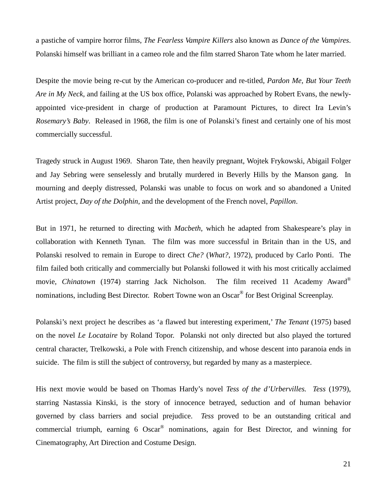a pastiche of vampire horror films, *The Fearless Vampire Killers* also known as *Dance of the Vampires*. Polanski himself was brilliant in a cameo role and the film starred Sharon Tate whom he later married.

Despite the movie being re-cut by the American co-producer and re-titled, *Pardon Me, But Your Teeth Are in My Neck*, and failing at the US box office, Polanski was approached by Robert Evans, the newlyappointed vice-president in charge of production at Paramount Pictures, to direct Ira Levin's *Rosemary's Baby*. Released in 1968, the film is one of Polanski's finest and certainly one of his most commercially successful.

Tragedy struck in August 1969. Sharon Tate, then heavily pregnant, Wojtek Frykowski, Abigail Folger and Jay Sebring were senselessly and brutally murdered in Beverly Hills by the Manson gang. In mourning and deeply distressed, Polanski was unable to focus on work and so abandoned a United Artist project, *Day of the Dolphin*, and the development of the French novel, *Papillon*.

But in 1971, he returned to directing with *Macbeth*, which he adapted from Shakespeare's play in collaboration with Kenneth Tynan. The film was more successful in Britain than in the US, and Polanski resolved to remain in Europe to direct *Che?* (*What?*, 1972), produced by Carlo Ponti. The film failed both critically and commercially but Polanski followed it with his most critically acclaimed movie, *Chinatown* (1974) starring Jack Nicholson. The film received 11 Academy Award® nominations, including Best Director. Robert Towne won an Oscar<sup>®</sup> for Best Original Screenplay.

Polanski's next project he describes as 'a flawed but interesting experiment,' *The Tenant* (1975) based on the novel *Le Locataire* by Roland Topor. Polanski not only directed but also played the tortured central character, Trelkowski, a Pole with French citizenship, and whose descent into paranoia ends in suicide. The film is still the subject of controversy, but regarded by many as a masterpiece.

His next movie would be based on Thomas Hardy's novel *Tess of the d'Urbervilles. Tess* (1979), starring Nastassia Kinski, is the story of innocence betrayed, seduction and of human behavior governed by class barriers and social prejudice. *Tess* proved to be an outstanding critical and commercial triumph, earning 6 Oscar® nominations, again for Best Director, and winning for Cinematography, Art Direction and Costume Design.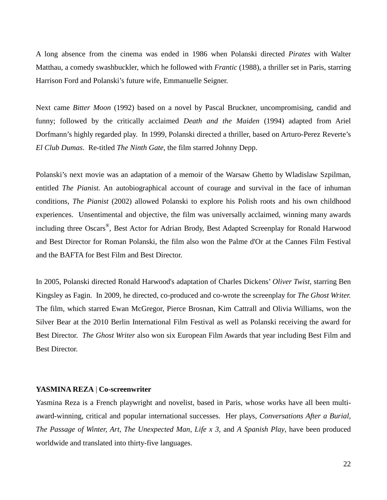A long absence from the cinema was ended in 1986 when Polanski directed *Pirates* with Walter Matthau, a comedy swashbuckler, which he followed with *Frantic* (1988), a thriller set in Paris, starring Harrison Ford and Polanski's future wife, Emmanuelle Seigner.

Next came *Bitter Moon* (1992) based on a novel by Pascal Bruckner, uncompromising, candid and funny; followed by the critically acclaimed *Death and the Maiden* (1994) adapted from Ariel Dorfmann's highly regarded play. In 1999, Polanski directed a thriller, based on Arturo-Perez Reverte's *El Club Dumas*. Re-titled *The Ninth Gate*, the film starred Johnny Depp.

Polanski's next movie was an adaptation of a memoir of the Warsaw Ghetto by Wladislaw Szpilman, entitled *The Pianist.* An autobiographical account of courage and survival in the face of inhuman conditions, *The Pianist* (2002) allowed Polanski to explore his Polish roots and his own childhood experiences. Unsentimental and objective, the film was universally acclaimed, winning many awards including three Oscars®, Best Actor for Adrian Brody, Best Adapted Screenplay for Ronald Harwood and Best Director for Roman Polanski, the film also won the Palme d'Or at the Cannes Film Festival and the BAFTA for Best Film and Best Director.

In 2005, Polanski directed Ronald Harwood's adaptation of Charles Dickens' *Oliver Twist,* starring Ben Kingsley as Fagin. In 2009, he directed, co-produced and co-wrote the screenplay for *The Ghost Writer.* The film, which starred Ewan McGregor, Pierce Brosnan, Kim Cattrall and Olivia Williams, won the Silver Bear at the 2010 Berlin International Film Festival as well as Polanski receiving the award for Best Director. *The Ghost Writer* also won six European Film Awards that year including Best Film and Best Director.

#### **YASMINA REZA** | **Co-screenwriter**

Yasmina Reza is a French playwright and novelist, based in Paris, whose works have all been multiaward-winning, critical and popular international successes. Her plays, *Conversations After a Burial, The Passage of Winter, Art, The Unexpected Man, Life x 3*, and *A Spanish Play*, have been produced worldwide and translated into thirty-five languages.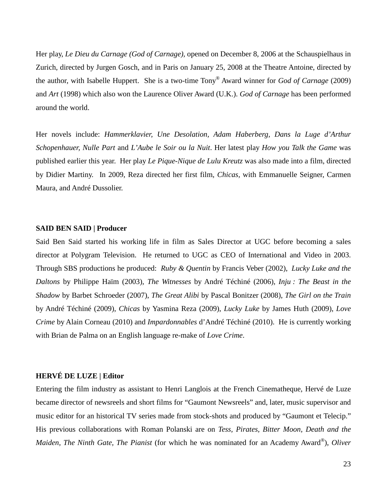Her play, *Le Dieu du Carnage (God of Carnage),* opened on December 8, 2006 at the Schauspielhaus in Zurich, directed by Jurgen Gosch, and in Paris on January 25, 2008 at the Theatre Antoine, directed by the author, with Isabelle Huppert. She is a two-time Tony® Award winner for *God of Carnage* (2009) and *Art* (1998) which also won the Laurence Oliver Award (U.K.). *God of Carnage* has been performed around the world.

Her novels include: *Hammerklavier, Une Desolation, Adam Haberberg, Dans la Luge d'Arthur Schopenhauer, Nulle Part* and *L'Aube le Soir ou la Nuit*. Her latest play *How you Talk the Game* was published earlier this year. Her play *Le Pique-Nique de Lulu Kreutz* was also made into a film, directed by Didier Martiny. In 2009, Reza directed her first film, *Chicas,* with Emmanuelle Seigner, Carmen Maura, and André Dussolier.

#### **SAID BEN SAID | Producer**

Said Ben Said started his working life in film as Sales Director at UGC before becoming a sales director at Polygram Television. He returned to UGC as CEO of International and Video in 2003. Through SBS productions he produced: *Ruby & Quentin* by Francis Veber (2002), *Lucky Luke and the Daltons* by Philippe Haïm (2003), *The Witnesses* by André Téchiné (2006), *Inju : The Beast in the Shadow* by Barbet Schroeder (2007), *The Great Alibi* by Pascal Bonitzer (2008), *The Girl on the Train* by André Téchiné (2009), *Chicas* by Yasmina Reza (2009), *Lucky Luke* by James Huth (2009), *Love Crime* by Alain Corneau (2010) and *Impardonnables* d'André Téchiné (2010). He is currently working with Brian de Palma on an English language re-make of *Love Crime*.

#### **HERVÉ DE LUZE | Editor**

Entering the film industry as assistant to Henri Langlois at the French Cinematheque, Hervé de Luze became director of newsreels and short films for "Gaumont Newsreels" and, later, music supervisor and music editor for an historical TV series made from stock-shots and produced by "Gaumont et Telecip." His previous collaborations with Roman Polanski are on *Tess, Pirates, Bitter Moon, Death and the Maiden, The Ninth Gate, The Pianist* (for which he was nominated for an Academy Award®), *Oliver*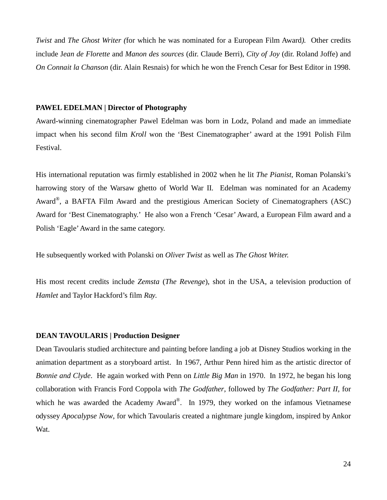*Twist* and *The Ghost Writer (*for which he was nominated for a European Film Award*).* Other credits include J*ean de Florette* and *Manon des sources* (dir. Claude Berri), *City of Joy* (dir. Roland Joffe) and *On Connait la Chanson* (dir. Alain Resnais) for which he won the French Cesar for Best Editor in 1998.

#### **PAWEL EDELMAN | Director of Photography**

Award-winning cinematographer Pawel Edelman was born in Lodz, Poland and made an immediate impact when his second film *Kroll* won the 'Best Cinematographer' award at the 1991 Polish Film Festival.

His international reputation was firmly established in 2002 when he lit *The Pianist*, Roman Polanski's harrowing story of the Warsaw ghetto of World War II. Edelman was nominated for an Academy Award<sup>®</sup>, a BAFTA Film Award and the prestigious American Society of Cinematographers (ASC) Award for 'Best Cinematography.' He also won a French 'Cesar' Award, a European Film award and a Polish 'Eagle' Award in the same category.

He subsequently worked with Polanski on *Oliver Twist* as well as *The Ghost Writer.* 

His most recent credits include *Zemsta* (*The Revenge*), shot in the USA, a television production of *Hamlet* and Taylor Hackford's film *Ray.*

#### **DEAN TAVOULARIS | Production Designer**

Dean Tavoularis studied architecture and painting before landing a job at Disney Studios working in the animation department as a storyboard artist. In 1967, Arthur Penn hired him as the artistic director of *Bonnie and Clyde*. He again worked with Penn on *Little Big Man* in 1970. In 1972, he began his long collaboration with Francis Ford Coppola with *The Godfather*, followed by *The Godfather: Part II,* for which he was awarded the Academy Award®. In 1979, they worked on the infamous Vietnamese odyssey *Apocalypse Now*, for which Tavoularis created a nightmare jungle kingdom, inspired by Ankor Wat.